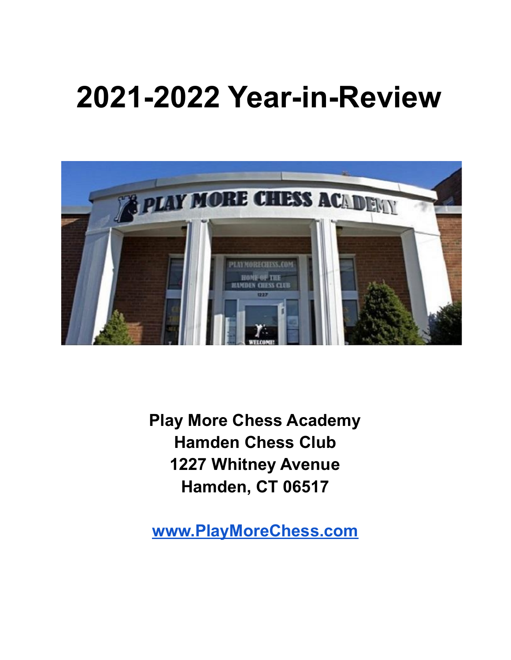# **2021-2022 Year-in-Review**



**Play More Chess Academy Hamden Chess Club 1227 Whitney Avenue Hamden, CT 06517**

**[www.PlayMoreChess.com](http://www.playmorechess.com)**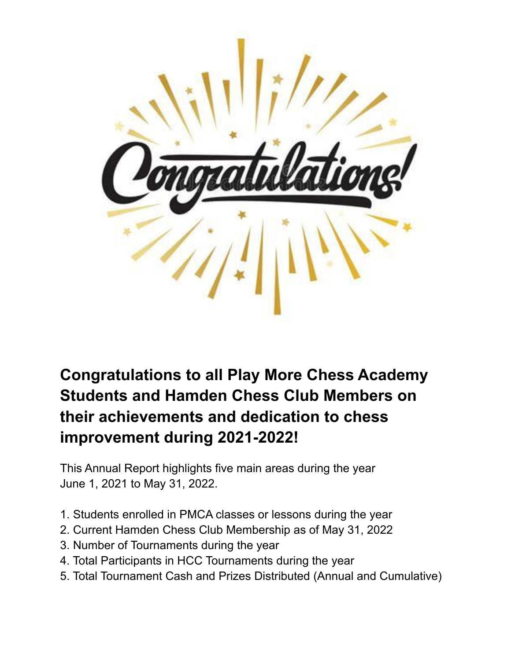

# **Congratulations to all Play More Chess Academy Students and Hamden Chess Club Members on their achievements and dedication to chess improvement during 2021-2022!**

This Annual Report highlights five main areas during the year June 1, 2021 to May 31, 2022.

- 1. Students enrolled in PMCA classes or lessons during the year
- 2. Current Hamden Chess Club Membership as of May 31, 2022
- 3. Number of Tournaments during the year
- 4. Total Participants in HCC Tournaments during the year
- 5. Total Tournament Cash and Prizes Distributed (Annual and Cumulative)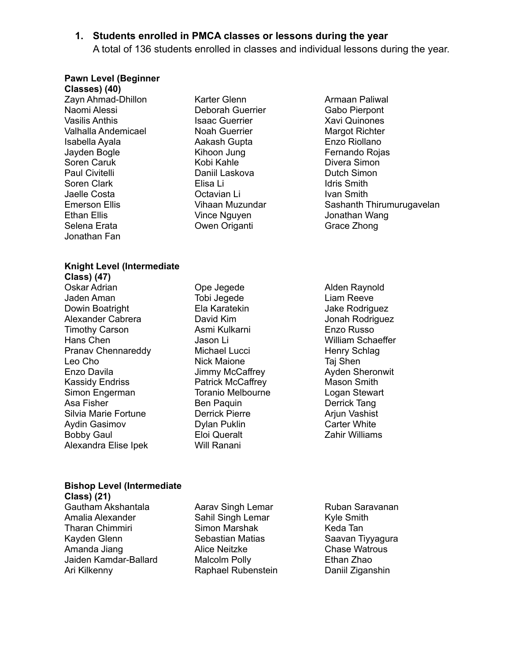#### **1. Students enrolled in PMCA classes or lessons during the year**

A total of 136 students enrolled in classes and individual lessons during the year.

#### **Pawn Level (Beginner**

**Classes) (40)** Zayn Ahmad-Dhillon Naomi Alessi Vasilis Anthis Valhalla Andemicael Isabella Ayala Jayden Bogle Soren Caruk Paul Civitelli Soren Clark Jaelle Costa Emerson Ellis Ethan Ellis Selena Erata Jonathan Fan

Karter Glenn Deborah Guerrier Isaac Guerrier Noah Guerrier Aakash Gupta Kihoon Jung Kobi Kahle Daniil Laskova Elisa Li Octavian Li Vihaan Muzundar Vince Nguyen Owen Origanti

Armaan Paliwal Gabo Pierpont Xavi Quinones Margot Richter Enzo Riollano Fernando Rojas Divera Simon Dutch Simon Idris Smith Ivan Smith Sashanth Thirumurugavelan Jonathan Wang Grace Zhong

#### **Knight Level (Intermediate Class) (47)**

Oskar Adrian Jaden Aman Dowin Boatright Alexander Cabrera Timothy Carson Hans Chen Pranav Chennareddy Leo Cho Enzo Davila Kassidy Endriss Simon Engerman Asa Fisher Silvia Marie Fortune Aydin Gasimov Bobby Gaul Alexandra Elise Ipek

Ope Jegede Tobi Jegede Ela Karatekin David Kim Asmi Kulkarni Jason Li Michael Lucci Nick Maione Jimmy McCaffrey Patrick McCaffrey Toranio Melbourne Ben Paquin Derrick Pierre Dylan Puklin Eloi Queralt Will Ranani

Alden Raynold Liam Reeve Jake Rodriguez Jonah Rodriguez Enzo Russo William Schaeffer Henry Schlag Taj Shen Ayden Sheronwit Mason Smith Logan Stewart Derrick Tang Ariun Vashist Carter White Zahir Williams

## **Bishop Level (Intermediate**

**Class) (21)** Gautham Akshantala Amalia Alexander Tharan Chimmiri Kayden Glenn Amanda Jiang Jaiden Kamdar-Ballard Ari Kilkenny

Aarav Singh Lemar Sahil Singh Lemar Simon Marshak Sebastian Matias Alice Neitzke Malcolm Polly Raphael Rubenstein Ruban Saravanan Kyle Smith Keda Tan Saavan Tiyyagura Chase Watrous Ethan Zhao Daniil Ziganshin